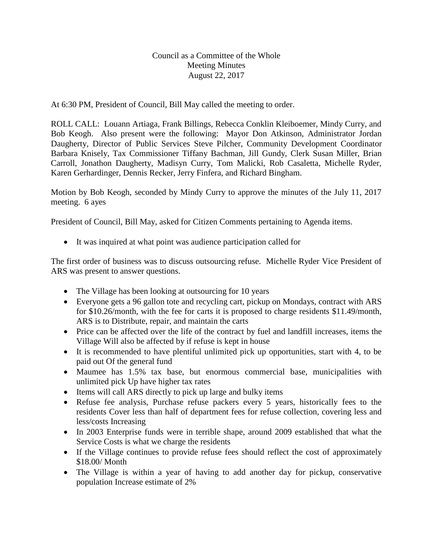Council as a Committee of the Whole Meeting Minutes August 22, 2017

At 6:30 PM, President of Council, Bill May called the meeting to order.

ROLL CALL: Louann Artiaga, Frank Billings, Rebecca Conklin Kleiboemer, Mindy Curry, and Bob Keogh. Also present were the following: Mayor Don Atkinson, Administrator Jordan Daugherty, Director of Public Services Steve Pilcher, Community Development Coordinator Barbara Knisely, Tax Commissioner Tiffany Bachman, Jill Gundy, Clerk Susan Miller, Brian Carroll, Jonathon Daugherty, Madisyn Curry, Tom Malicki, Rob Casaletta, Michelle Ryder, Karen Gerhardinger, Dennis Recker, Jerry Finfera, and Richard Bingham.

Motion by Bob Keogh, seconded by Mindy Curry to approve the minutes of the July 11, 2017 meeting. 6 ayes

President of Council, Bill May, asked for Citizen Comments pertaining to Agenda items.

It was inquired at what point was audience participation called for

The first order of business was to discuss outsourcing refuse. Michelle Ryder Vice President of ARS was present to answer questions.

- The Village has been looking at outsourcing for 10 years
- Everyone gets a 96 gallon tote and recycling cart, pickup on Mondays, contract with ARS for \$10.26/month, with the fee for carts it is proposed to charge residents \$11.49/month, ARS is to Distribute, repair, and maintain the carts
- Price can be affected over the life of the contract by fuel and landfill increases, items the Village Will also be affected by if refuse is kept in house
- It is recommended to have plentiful unlimited pick up opportunities, start with 4, to be paid out Of the general fund
- Maumee has 1.5% tax base, but enormous commercial base, municipalities with unlimited pick Up have higher tax rates
- Items will call ARS directly to pick up large and bulky items
- Refuse fee analysis, Purchase refuse packers every 5 years, historically fees to the residents Cover less than half of department fees for refuse collection, covering less and less/costs Increasing
- In 2003 Enterprise funds were in terrible shape, around 2009 established that what the Service Costs is what we charge the residents
- If the Village continues to provide refuse fees should reflect the cost of approximately \$18.00/ Month
- The Village is within a year of having to add another day for pickup, conservative population Increase estimate of 2%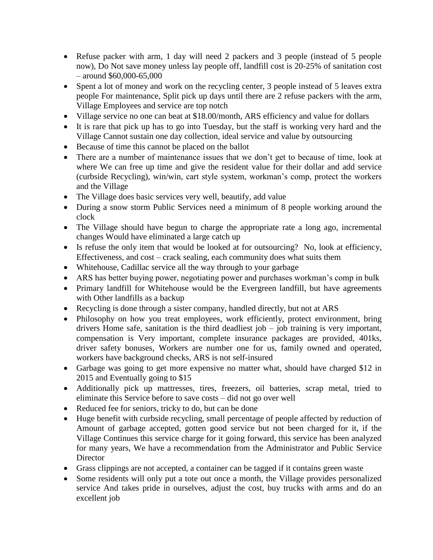- Refuse packer with arm, 1 day will need 2 packers and 3 people (instead of 5 people now), Do Not save money unless lay people off, landfill cost is 20-25% of sanitation cost – around \$60,000-65,000
- Spent a lot of money and work on the recycling center, 3 people instead of 5 leaves extra people For maintenance, Split pick up days until there are 2 refuse packers with the arm, Village Employees and service are top notch
- Village service no one can beat at \$18.00/month, ARS efficiency and value for dollars
- It is rare that pick up has to go into Tuesday, but the staff is working very hard and the Village Cannot sustain one day collection, ideal service and value by outsourcing
- Because of time this cannot be placed on the ballot
- There are a number of maintenance issues that we don't get to because of time, look at where We can free up time and give the resident value for their dollar and add service (curbside Recycling), win/win, cart style system, workman's comp, protect the workers and the Village
- The Village does basic services very well, beautify, add value
- During a snow storm Public Services need a minimum of 8 people working around the clock
- The Village should have begun to charge the appropriate rate a long ago, incremental changes Would have eliminated a large catch up
- Is refuse the only item that would be looked at for outsourcing? No, look at efficiency, Effectiveness, and cost – crack sealing, each community does what suits them
- Whitehouse, Cadillac service all the way through to your garbage
- ARS has better buying power, negotiating power and purchases workman's comp in bulk
- Primary landfill for Whitehouse would be the Evergreen landfill, but have agreements with Other landfills as a backup
- Recycling is done through a sister company, handled directly, but not at ARS
- Philosophy on how you treat employees, work efficiently, protect environment, bring drivers Home safe, sanitation is the third deadliest job  $-$  job training is very important, compensation is Very important, complete insurance packages are provided, 401ks, driver safety bonuses, Workers are number one for us, family owned and operated, workers have background checks, ARS is not self-insured
- Garbage was going to get more expensive no matter what, should have charged \$12 in 2015 and Eventually going to \$15
- Additionally pick up mattresses, tires, freezers, oil batteries, scrap metal, tried to eliminate this Service before to save costs – did not go over well
- Reduced fee for seniors, tricky to do, but can be done
- Huge benefit with curbside recycling, small percentage of people affected by reduction of Amount of garbage accepted, gotten good service but not been charged for it, if the Village Continues this service charge for it going forward, this service has been analyzed for many years, We have a recommendation from the Administrator and Public Service **Director**
- Grass clippings are not accepted, a container can be tagged if it contains green waste
- Some residents will only put a tote out once a month, the Village provides personalized service And takes pride in ourselves, adjust the cost, buy trucks with arms and do an excellent job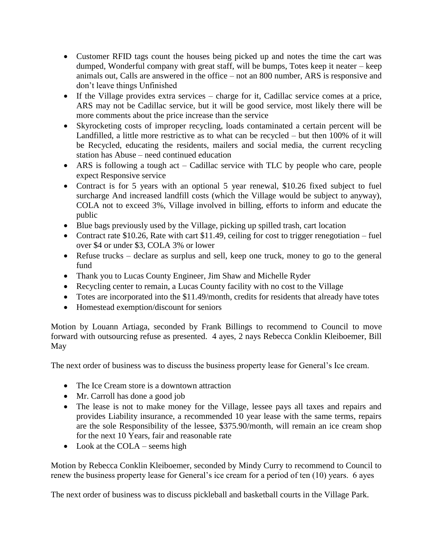- Customer RFID tags count the houses being picked up and notes the time the cart was dumped, Wonderful company with great staff, will be bumps, Totes keep it neater – keep animals out, Calls are answered in the office – not an 800 number, ARS is responsive and don't leave things Unfinished
- If the Village provides extra services charge for it, Cadillac service comes at a price, ARS may not be Cadillac service, but it will be good service, most likely there will be more comments about the price increase than the service
- Skyrocketing costs of improper recycling, loads contaminated a certain percent will be Landfilled, a little more restrictive as to what can be recycled – but then 100% of it will be Recycled, educating the residents, mailers and social media, the current recycling station has Abuse – need continued education
- ARS is following a tough act Cadillac service with TLC by people who care, people expect Responsive service
- Contract is for 5 years with an optional 5 year renewal, \$10.26 fixed subject to fuel surcharge And increased landfill costs (which the Village would be subject to anyway), COLA not to exceed 3%, Village involved in billing, efforts to inform and educate the public
- Blue bags previously used by the Village, picking up spilled trash, cart location
- Contract rate \$10.26, Rate with cart \$11.49, ceiling for cost to trigger renegotiation fuel over \$4 or under \$3, COLA 3% or lower
- Refuse trucks declare as surplus and sell, keep one truck, money to go to the general fund
- Thank you to Lucas County Engineer, Jim Shaw and Michelle Ryder
- Recycling center to remain, a Lucas County facility with no cost to the Village
- Totes are incorporated into the \$11.49/month, credits for residents that already have totes
- Homestead exemption/discount for seniors

Motion by Louann Artiaga, seconded by Frank Billings to recommend to Council to move forward with outsourcing refuse as presented. 4 ayes, 2 nays Rebecca Conklin Kleiboemer, Bill May

The next order of business was to discuss the business property lease for General's Ice cream.

- The Ice Cream store is a downtown attraction
- Mr. Carroll has done a good job
- The lease is not to make money for the Village, lessee pays all taxes and repairs and provides Liability insurance, a recommended 10 year lease with the same terms, repairs are the sole Responsibility of the lessee, \$375.90/month, will remain an ice cream shop for the next 10 Years, fair and reasonable rate
- Look at the COLA seems high

Motion by Rebecca Conklin Kleiboemer, seconded by Mindy Curry to recommend to Council to renew the business property lease for General's ice cream for a period of ten (10) years. 6 ayes

The next order of business was to discuss pickleball and basketball courts in the Village Park.